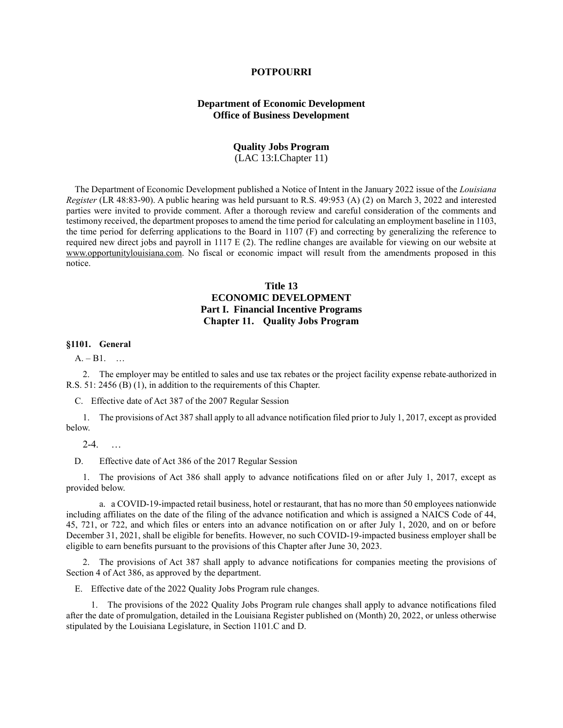### **POTPOURRI**

# **Department of Economic Development Office of Business Development**

# **Quality Jobs Program**

(LAC 13:I.Chapter 11)

The Department of Economic Development published a Notice of Intent in the January 2022 issue of the *Louisiana Register* (LR 48:83-90). A public hearing was held pursuant to R.S. 49:953 (A) (2) on March 3, 2022 and interested parties were invited to provide comment. After a thorough review and careful consideration of the comments and testimony received, the department proposes to amend the time period for calculating an employment baseline in 1103, the time period for deferring applications to the Board in 1107 (F) and correcting by generalizing the reference to required new direct jobs and payroll in 1117 E (2). The redline changes are available for viewing on our website at [www.opportunitylouisiana.com.](http://www.opportunitylouisiana.com/) No fiscal or economic impact will result from the amendments proposed in this notice.

# **Title 13 ECONOMIC DEVELOPMENT Part I. Financial Incentive Programs Chapter 11. Quality Jobs Program**

# **§1101. General**

 $A. - B1.$  ...

2. The employer may be entitled to sales and use tax rebates or the project facility expense rebate authorized in R.S. 51: 2456 (B) (1), in addition to the requirements of this Chapter.

C. Effective date of Act 387 of the 2007 Regular Session

1. The provisions of Act 387 shall apply to all advance notification filed prior to July 1, 2017, except as provided below.

 $2-4.$  ...

D. Effective date of Act 386 of the 2017 Regular Session

1. The provisions of Act 386 shall apply to advance notifications filed on or after July 1, 2017, except as provided below.

a. a COVID-19-impacted retail business, hotel or restaurant, that has no more than 50 employees nationwide including affiliates on the date of the filing of the advance notification and which is assigned a NAICS Code of 44, 45, 721, or 722, and which files or enters into an advance notification on or after July 1, 2020, and on or before December 31, 2021, shall be eligible for benefits. However, no such COVID-19-impacted business employer shall be eligible to earn benefits pursuant to the provisions of this Chapter after June 30, 2023.

2. The provisions of Act 387 shall apply to advance notifications for companies meeting the provisions of Section 4 of Act 386, as approved by the department.

E. Effective date of the 2022 Quality Jobs Program rule changes.

1. The provisions of the 2022 Quality Jobs Program rule changes shall apply to advance notifications filed after the date of promulgation, detailed in the Louisiana Register published on (Month) 20, 2022, or unless otherwise stipulated by the Louisiana Legislature, in Section 1101.C and D.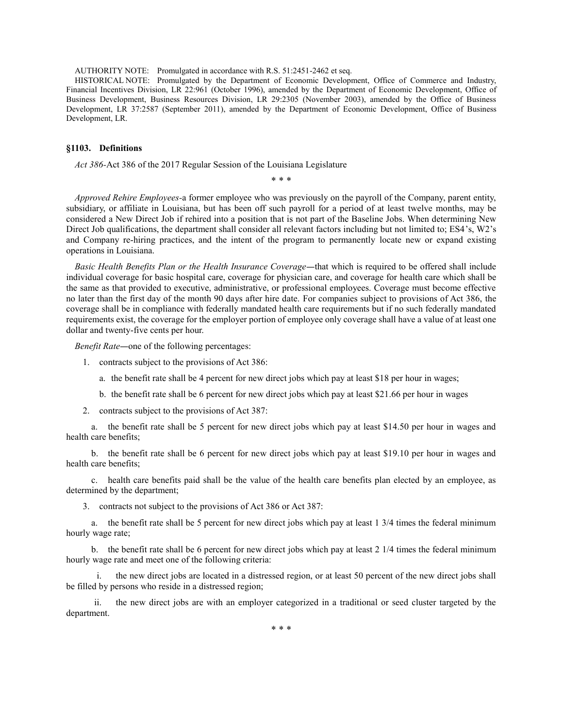AUTHORITY NOTE: Promulgated in accordance with R.S. 51:2451-2462 et seq.

HISTORICAL NOTE: Promulgated by the Department of Economic Development, Office of Commerce and Industry, Financial Incentives Division, LR 22:961 (October 1996), amended by the Department of Economic Development, Office of Business Development, Business Resources Division, LR 29:2305 (November 2003), amended by the Office of Business Development, LR 37:2587 (September 2011), amended by the Department of Economic Development, Office of Business Development, LR.

### **§1103. Definitions**

*Act 386-*Act 386 of the 2017 Regular Session of the Louisiana Legislature

\* \* \*

*Approved Rehire Employees-*a former employee who was previously on the payroll of the Company, parent entity, subsidiary, or affiliate in Louisiana, but has been off such payroll for a period of at least twelve months, may be considered a New Direct Job if rehired into a position that is not part of the Baseline Jobs. When determining New Direct Job qualifications, the department shall consider all relevant factors including but not limited to; ES4's, W2's and Company re-hiring practices, and the intent of the program to permanently locate new or expand existing operations in Louisiana.

*Basic Health Benefits Plan or the Health Insurance Coverage—that which is required to be offered shall include* individual coverage for basic hospital care, coverage for physician care, and coverage for health care which shall be the same as that provided to executive, administrative, or professional employees. Coverage must become effective no later than the first day of the month 90 days after hire date. For companies subject to provisions of Act 386, the coverage shall be in compliance with federally mandated health care requirements but if no such federally mandated requirements exist, the coverage for the employer portion of employee only coverage shall have a value of at least one dollar and twenty-five cents per hour.

*Benefit Rate*—one of the following percentages:

- 1. contracts subject to the provisions of Act 386:
	- a. the benefit rate shall be 4 percent for new direct jobs which pay at least \$18 per hour in wages;
	- b. the benefit rate shall be 6 percent for new direct jobs which pay at least \$21.66 per hour in wages
- 2. contracts subject to the provisions of Act 387:

a. the benefit rate shall be 5 percent for new direct jobs which pay at least \$14.50 per hour in wages and health care benefits;

b. the benefit rate shall be 6 percent for new direct jobs which pay at least \$19.10 per hour in wages and health care benefits;

c. health care benefits paid shall be the value of the health care benefits plan elected by an employee, as determined by the department;

3. contracts not subject to the provisions of Act 386 or Act 387:

a. the benefit rate shall be 5 percent for new direct jobs which pay at least 1 3/4 times the federal minimum hourly wage rate;

b. the benefit rate shall be 6 percent for new direct jobs which pay at least 2 1/4 times the federal minimum hourly wage rate and meet one of the following criteria:

the new direct jobs are located in a distressed region, or at least 50 percent of the new direct jobs shall be filled by persons who reside in a distressed region;

ii. the new direct jobs are with an employer categorized in a traditional or seed cluster targeted by the department.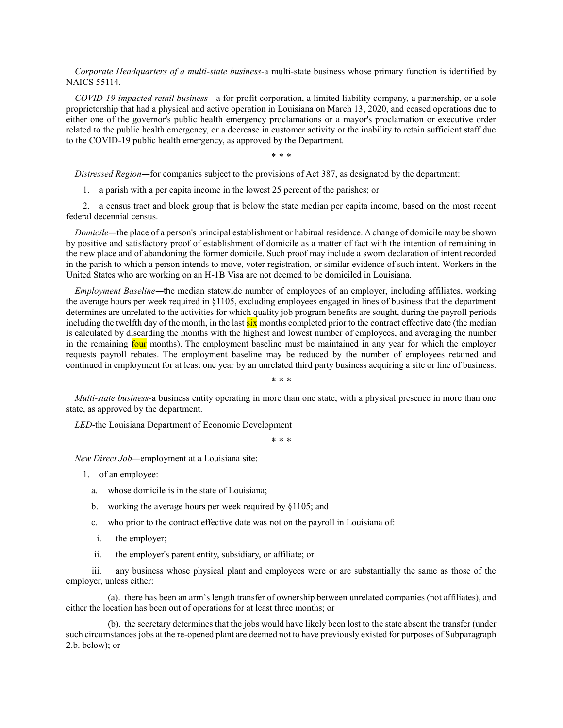*Corporate Headquarters of a multi-state business-*a multi-state business whose primary function is identified by NAICS 55114.

*COVID-19-impacted retail business* - a for-profit corporation, a limited liability company, a partnership, or a sole proprietorship that had a physical and active operation in Louisiana on March 13, 2020, and ceased operations due to either one of the governor's public health emergency proclamations or a mayor's proclamation or executive order related to the public health emergency, or a decrease in customer activity or the inability to retain sufficient staff due to the COVID-19 public health emergency, as approved by the Department.

\* \* \*

*Distressed Region*―for companies subject to the provisions of Act 387, as designated by the department:

1. a parish with a per capita income in the lowest 25 percent of the parishes; or

2. a census tract and block group that is below the state median per capita income, based on the most recent federal decennial census.

*Domicile*―the place of a person's principal establishment or habitual residence. A change of domicile may be shown by positive and satisfactory proof of establishment of domicile as a matter of fact with the intention of remaining in the new place and of abandoning the former domicile. Such proof may include a sworn declaration of intent recorded in the parish to which a person intends to move, voter registration, or similar evidence of such intent. Workers in the United States who are working on an H-1B Visa are not deemed to be domiciled in Louisiana.

*Employment Baseline*―the median statewide number of employees of an employer, including affiliates, working the average hours per week required in §1105, excluding employees engaged in lines of business that the department determines are unrelated to the activities for which quality job program benefits are sought, during the payroll periods including the twelfth day of the month, in the last  $\frac{\sin x}{\sin x}$  months completed prior to the contract effective date (the median is calculated by discarding the months with the highest and lowest number of employees, and averaging the number in the remaining four months). The employment baseline must be maintained in any year for which the employer requests payroll rebates. The employment baseline may be reduced by the number of employees retained and continued in employment for at least one year by an unrelated third party business acquiring a site or line of business.

\* \* \*

*Multi-state business-*a business entity operating in more than one state, with a physical presence in more than one state, as approved by the department.

*LED*-the Louisiana Department of Economic Development

\* \* \*

*New Direct Job*―employment at a Louisiana site:

- 1. of an employee:
	- a. whose domicile is in the state of Louisiana;
	- b. working the average hours per week required by §1105; and
	- c. who prior to the contract effective date was not on the payroll in Louisiana of:
	- i. the employer;
	- ii. the employer's parent entity, subsidiary, or affiliate; or

iii. any business whose physical plant and employees were or are substantially the same as those of the employer, unless either:

(a). there has been an arm's length transfer of ownership between unrelated companies (not affiliates), and either the location has been out of operations for at least three months; or

(b). the secretary determines that the jobs would have likely been lost to the state absent the transfer (under such circumstances jobs at the re-opened plant are deemed not to have previously existed for purposes of Subparagraph 2.b. below); or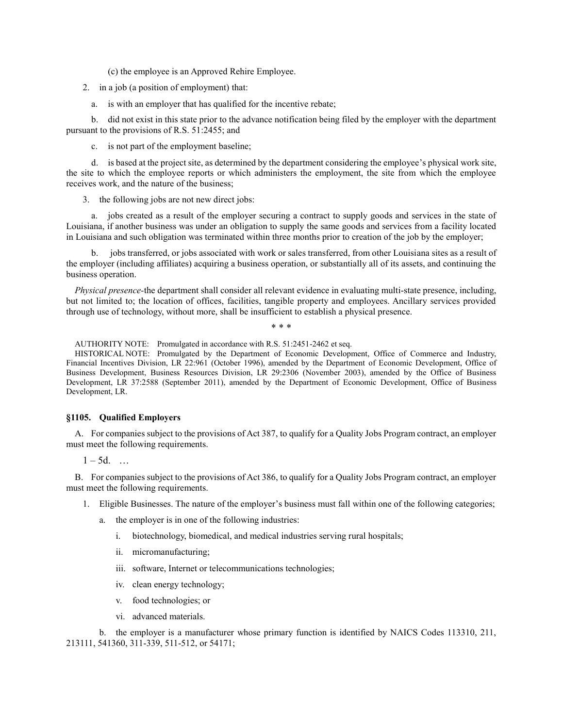(c) the employee is an Approved Rehire Employee.

2. in a job (a position of employment) that:

a. is with an employer that has qualified for the incentive rebate;

b. did not exist in this state prior to the advance notification being filed by the employer with the department pursuant to the provisions of R.S. 51:2455; and

c. is not part of the employment baseline;

d. is based at the project site, as determined by the department considering the employee's physical work site, the site to which the employee reports or which administers the employment, the site from which the employee receives work, and the nature of the business;

3. the following jobs are not new direct jobs:

a. jobs created as a result of the employer securing a contract to supply goods and services in the state of Louisiana, if another business was under an obligation to supply the same goods and services from a facility located in Louisiana and such obligation was terminated within three months prior to creation of the job by the employer;

b. jobs transferred, or jobs associated with work or sales transferred, from other Louisiana sites as a result of the employer (including affiliates) acquiring a business operation, or substantially all of its assets, and continuing the business operation.

*Physical presence-*the department shall consider all relevant evidence in evaluating multi-state presence, including, but not limited to; the location of offices, facilities, tangible property and employees. Ancillary services provided through use of technology, without more, shall be insufficient to establish a physical presence.

\* \* \*

AUTHORITY NOTE: Promulgated in accordance with R.S. 51:2451-2462 et seq.

HISTORICAL NOTE: Promulgated by the Department of Economic Development, Office of Commerce and Industry, Financial Incentives Division, LR 22:961 (October 1996), amended by the Department of Economic Development, Office of Business Development, Business Resources Division, LR 29:2306 (November 2003), amended by the Office of Business Development, LR 37:2588 (September 2011), amended by the Department of Economic Development, Office of Business Development, LR.

### **§1105. Qualified Employers**

A. For companies subject to the provisions of Act 387, to qualify for a Quality Jobs Program contract, an employer must meet the following requirements.

 $1 - 5d.$  ...

B. For companies subject to the provisions of Act 386, to qualify for a Quality Jobs Program contract, an employer must meet the following requirements.

- 1. Eligible Businesses. The nature of the employer's business must fall within one of the following categories;
	- a. the employer is in one of the following industries:
		- i. biotechnology, biomedical, and medical industries serving rural hospitals;
		- ii. micromanufacturing;
		- iii. software, Internet or telecommunications technologies;
		- iv. clean energy technology;
		- v. food technologies; or
		- vi. advanced materials.

b. the employer is a manufacturer whose primary function is identified by NAICS Codes 113310, 211, 213111, 541360, 311-339, 511-512, or 54171;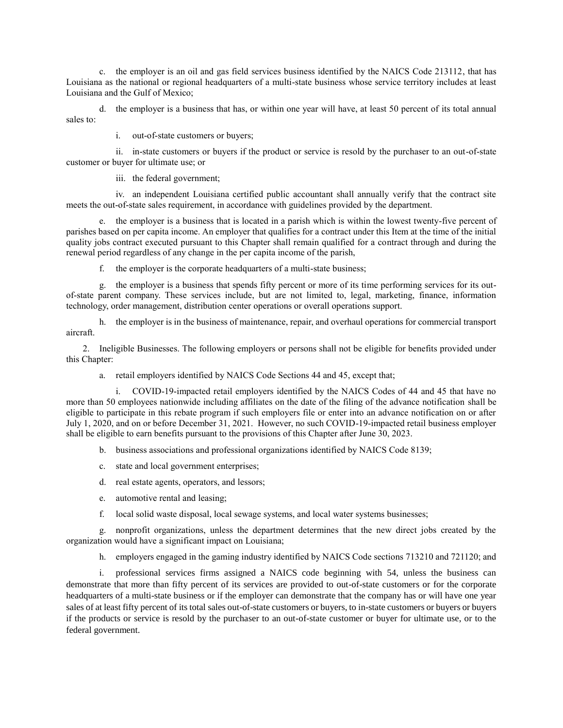c. the employer is an oil and gas field services business identified by the NAICS Code 213112, that has Louisiana as the national or regional headquarters of a multi-state business whose service territory includes at least Louisiana and the Gulf of Mexico;

d. the employer is a business that has, or within one year will have, at least 50 percent of its total annual sales to:

i. out-of-state customers or buyers;

ii. in-state customers or buyers if the product or service is resold by the purchaser to an out-of-state customer or buyer for ultimate use; or

iii. the federal government;

iv. an independent Louisiana certified public accountant shall annually verify that the contract site meets the out-of-state sales requirement, in accordance with guidelines provided by the department.

e. the employer is a business that is located in a parish which is within the lowest twenty-five percent of parishes based on per capita income. An employer that qualifies for a contract under this Item at the time of the initial quality jobs contract executed pursuant to this Chapter shall remain qualified for a contract through and during the renewal period regardless of any change in the per capita income of the parish,

f. the employer is the corporate headquarters of a multi-state business;

g. the employer is a business that spends fifty percent or more of its time performing services for its outof-state parent company. These services include, but are not limited to, legal, marketing, finance, information technology, order management, distribution center operations or overall operations support.

h. the employer is in the business of maintenance, repair, and overhaul operations for commercial transport aircraft.

2. Ineligible Businesses. The following employers or persons shall not be eligible for benefits provided under this Chapter:

a. retail employers identified by NAICS Code Sections 44 and 45, except that;

i. COVID-19-impacted retail employers identified by the NAICS Codes of 44 and 45 that have no more than 50 employees nationwide including affiliates on the date of the filing of the advance notification shall be eligible to participate in this rebate program if such employers file or enter into an advance notification on or after July 1, 2020, and on or before December 31, 2021. However, no such COVID-19-impacted retail business employer shall be eligible to earn benefits pursuant to the provisions of this Chapter after June 30, 2023.

b. business associations and professional organizations identified by NAICS Code 8139;

- c. state and local government enterprises;
- d. real estate agents, operators, and lessors;
- e. automotive rental and leasing;
- f. local solid waste disposal, local sewage systems, and local water systems businesses;

g. nonprofit organizations, unless the department determines that the new direct jobs created by the organization would have a significant impact on Louisiana;

h. employers engaged in the gaming industry identified by NAICS Code sections 713210 and 721120; and

i. professional services firms assigned a NAICS code beginning with 54, unless the business can demonstrate that more than fifty percent of its services are provided to out-of-state customers or for the corporate headquarters of a multi-state business or if the employer can demonstrate that the company has or will have one year sales of at least fifty percent of its total sales out-of-state customers or buyers, to in-state customers or buyers or buyers if the products or service is resold by the purchaser to an out-of-state customer or buyer for ultimate use, or to the federal government.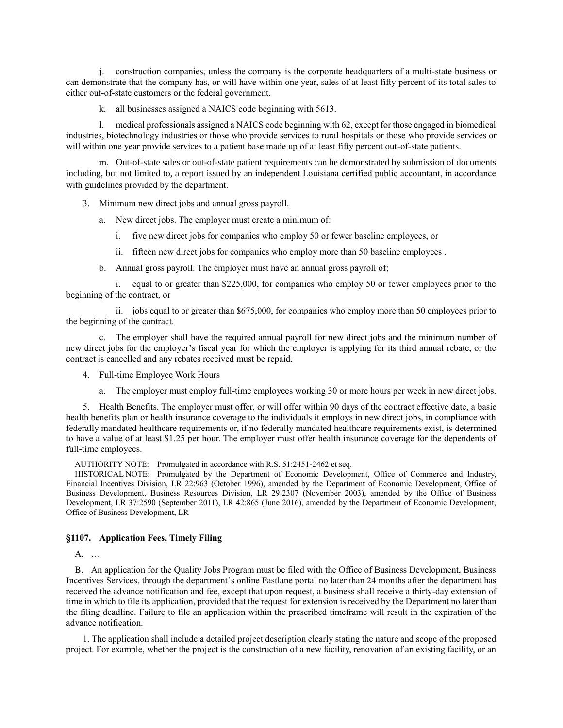j. construction companies, unless the company is the corporate headquarters of a multi-state business or can demonstrate that the company has, or will have within one year, sales of at least fifty percent of its total sales to either out-of-state customers or the federal government.

k. all businesses assigned a NAICS code beginning with 5613.

l. medical professionals assigned a NAICS code beginning with 62, except for those engaged in biomedical industries, biotechnology industries or those who provide services to rural hospitals or those who provide services or will within one year provide services to a patient base made up of at least fifty percent out-of-state patients.

m. Out-of-state sales or out-of-state patient requirements can be demonstrated by submission of documents including, but not limited to, a report issued by an independent Louisiana certified public accountant, in accordance with guidelines provided by the department.

3. Minimum new direct jobs and annual gross payroll.

a. New direct jobs. The employer must create a minimum of:

- i. five new direct jobs for companies who employ 50 or fewer baseline employees, or
- ii. fifteen new direct jobs for companies who employ more than 50 baseline employees .
- b. Annual gross payroll. The employer must have an annual gross payroll of;

i. equal to or greater than \$225,000, for companies who employ 50 or fewer employees prior to the beginning of the contract, or

ii. jobs equal to or greater than \$675,000, for companies who employ more than 50 employees prior to the beginning of the contract.

c. The employer shall have the required annual payroll for new direct jobs and the minimum number of new direct jobs for the employer's fiscal year for which the employer is applying for its third annual rebate, or the contract is cancelled and any rebates received must be repaid.

4. Full-time Employee Work Hours

a. The employer must employ full-time employees working 30 or more hours per week in new direct jobs.

5. Health Benefits. The employer must offer, or will offer within 90 days of the contract effective date, a basic health benefits plan or health insurance coverage to the individuals it employs in new direct jobs, in compliance with federally mandated healthcare requirements or, if no federally mandated healthcare requirements exist, is determined to have a value of at least \$1.25 per hour. The employer must offer health insurance coverage for the dependents of full-time employees.

AUTHORITY NOTE: Promulgated in accordance with R.S. 51:2451-2462 et seq.

HISTORICAL NOTE: Promulgated by the Department of Economic Development, Office of Commerce and Industry, Financial Incentives Division, LR 22:963 (October 1996), amended by the Department of Economic Development, Office of Business Development, Business Resources Division, LR 29:2307 (November 2003), amended by the Office of Business Development, LR 37:2590 (September 2011), LR 42:865 (June 2016), amended by the Department of Economic Development, Office of Business Development, LR

## **§1107. Application Fees, Timely Filing**

A. …

B. An application for the Quality Jobs Program must be filed with the Office of Business Development, Business Incentives Services, through the department's online Fastlane portal no later than 24 months after the department has received the advance notification and fee, except that upon request, a business shall receive a thirty-day extension of time in which to file its application, provided that the request for extension is received by the Department no later than the filing deadline. Failure to file an application within the prescribed timeframe will result in the expiration of the advance notification.

1. The application shall include a detailed project description clearly stating the nature and scope of the proposed project. For example, whether the project is the construction of a new facility, renovation of an existing facility, or an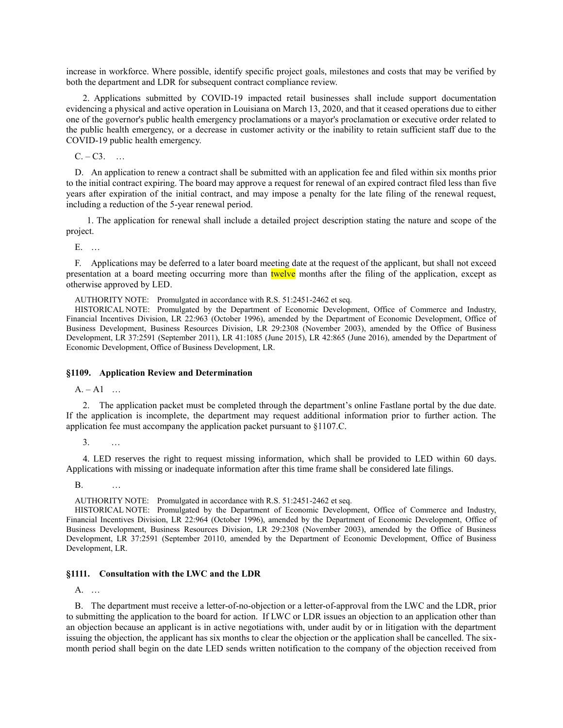increase in workforce. Where possible, identify specific project goals, milestones and costs that may be verified by both the department and LDR for subsequent contract compliance review.

2. Applications submitted by COVID-19 impacted retail businesses shall include support documentation evidencing a physical and active operation in Louisiana on March 13, 2020, and that it ceased operations due to either one of the governor's public health emergency proclamations or a mayor's proclamation or executive order related to the public health emergency, or a decrease in customer activity or the inability to retain sufficient staff due to the COVID-19 public health emergency.

 $C. - C3.$  ...

D. An application to renew a contract shall be submitted with an application fee and filed within six months prior to the initial contract expiring. The board may approve a request for renewal of an expired contract filed less than five years after expiration of the initial contract, and may impose a penalty for the late filing of the renewal request, including a reduction of the 5-year renewal period.

1. The application for renewal shall include a detailed project description stating the nature and scope of the project.

E. …

F. Applications may be deferred to a later board meeting date at the request of the applicant, but shall not exceed presentation at a board meeting occurring more than twelve months after the filing of the application, except as otherwise approved by LED.

AUTHORITY NOTE: Promulgated in accordance with R.S. 51:2451-2462 et seq.

HISTORICAL NOTE: Promulgated by the Department of Economic Development, Office of Commerce and Industry, Financial Incentives Division, LR 22:963 (October 1996), amended by the Department of Economic Development, Office of Business Development, Business Resources Division, LR 29:2308 (November 2003), amended by the Office of Business Development, LR 37:2591 (September 2011), LR 41:1085 (June 2015), LR 42:865 (June 2016), amended by the Department of Economic Development, Office of Business Development, LR.

#### **§1109. Application Review and Determination**

 $A. - A1$  ...

2. The application packet must be completed through the department's online Fastlane portal by the due date. If the application is incomplete, the department may request additional information prior to further action. The application fee must accompany the application packet pursuant to §1107.C.

3. …

4. LED reserves the right to request missing information, which shall be provided to LED within 60 days. Applications with missing or inadequate information after this time frame shall be considered late filings.

B. …

AUTHORITY NOTE: Promulgated in accordance with R.S. 51:2451-2462 et seq.

HISTORICAL NOTE: Promulgated by the Department of Economic Development, Office of Commerce and Industry, Financial Incentives Division, LR 22:964 (October 1996), amended by the Department of Economic Development, Office of Business Development, Business Resources Division, LR 29:2308 (November 2003), amended by the Office of Business Development, LR 37:2591 (September 20110, amended by the Department of Economic Development, Office of Business Development, LR.

### **§1111. Consultation with the LWC and the LDR**

A. …

B. The department must receive a letter-of-no-objection or a letter-of-approval from the LWC and the LDR, prior to submitting the application to the board for action. If LWC or LDR issues an objection to an application other than an objection because an applicant is in active negotiations with, under audit by or in litigation with the department issuing the objection, the applicant has six months to clear the objection or the application shall be cancelled. The sixmonth period shall begin on the date LED sends written notification to the company of the objection received from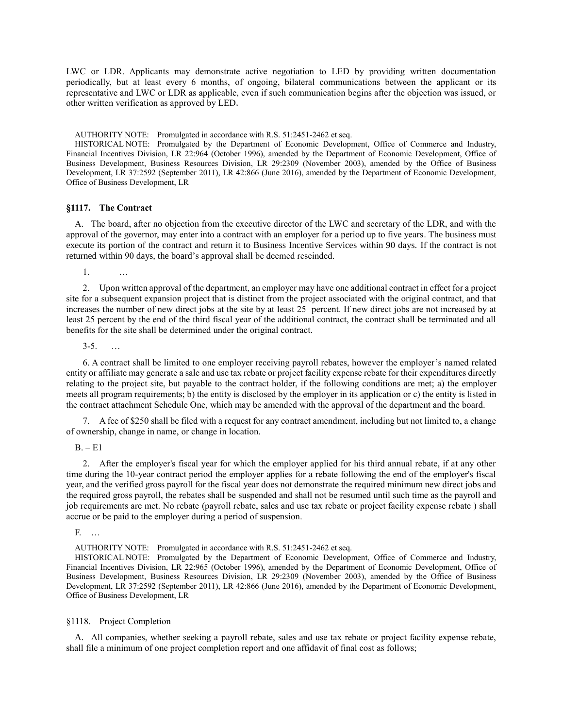LWC or LDR. Applicants may demonstrate active negotiation to LED by providing written documentation periodically, but at least every 6 months, of ongoing, bilateral communications between the applicant or its representative and LWC or LDR as applicable, even if such communication begins after the objection was issued, or other written verification as approved by LED.

AUTHORITY NOTE: Promulgated in accordance with R.S. 51:2451-2462 et seq.

HISTORICAL NOTE: Promulgated by the Department of Economic Development, Office of Commerce and Industry, Financial Incentives Division, LR 22:964 (October 1996), amended by the Department of Economic Development, Office of Business Development, Business Resources Division, LR 29:2309 (November 2003), amended by the Office of Business Development, LR 37:2592 (September 2011), LR 42:866 (June 2016), amended by the Department of Economic Development, Office of Business Development, LR

### **§1117. The Contract**

A. The board, after no objection from the executive director of the LWC and secretary of the LDR, and with the approval of the governor, may enter into a contract with an employer for a period up to five years. The business must execute its portion of the contract and return it to Business Incentive Services within 90 days. If the contract is not returned within 90 days, the board's approval shall be deemed rescinded.

1. …

2. Upon written approval of the department, an employer may have one additional contract in effect for a project site for a subsequent expansion project that is distinct from the project associated with the original contract, and that increases the number of new direct jobs at the site by at least 25 percent. If new direct jobs are not increased by at least 25 percent by the end of the third fiscal year of the additional contract, the contract shall be terminated and all benefits for the site shall be determined under the original contract.

 $3 - 5$ .

6. A contract shall be limited to one employer receiving payroll rebates, however the employer's named related entity or affiliate may generate a sale and use tax rebate or project facility expense rebate for their expenditures directly relating to the project site, but payable to the contract holder, if the following conditions are met; a) the employer meets all program requirements; b) the entity is disclosed by the employer in its application or c) the entity is listed in the contract attachment Schedule One, which may be amended with the approval of the department and the board.

7. A fee of \$250 shall be filed with a request for any contract amendment, including but not limited to, a change of ownership, change in name, or change in location.

 $B. - E1$ 

2. After the employer's fiscal year for which the employer applied for his third annual rebate, if at any other time during the 10-year contract period the employer applies for a rebate following the end of the employer's fiscal year, and the verified gross payroll for the fiscal year does not demonstrate the required minimum new direct jobs and the required gross payroll, the rebates shall be suspended and shall not be resumed until such time as the payroll and job requirements are met. No rebate (payroll rebate, sales and use tax rebate or project facility expense rebate ) shall accrue or be paid to the employer during a period of suspension.

F. …

AUTHORITY NOTE: Promulgated in accordance with R.S. 51:2451-2462 et seq.

HISTORICAL NOTE: Promulgated by the Department of Economic Development, Office of Commerce and Industry, Financial Incentives Division, LR 22:965 (October 1996), amended by the Department of Economic Development, Office of Business Development, Business Resources Division, LR 29:2309 (November 2003), amended by the Office of Business Development, LR 37:2592 (September 2011), LR 42:866 (June 2016), amended by the Department of Economic Development, Office of Business Development, LR

### §1118. Project Completion

A. All companies, whether seeking a payroll rebate, sales and use tax rebate or project facility expense rebate, shall file a minimum of one project completion report and one affidavit of final cost as follows;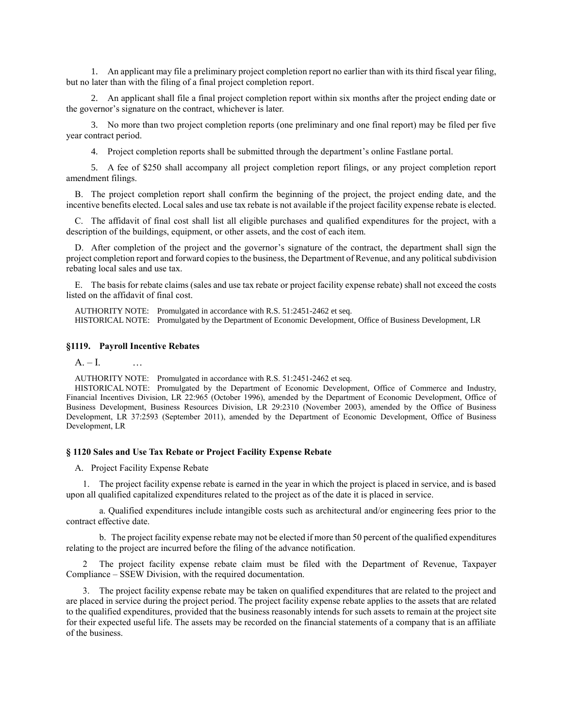1. An applicant may file a preliminary project completion report no earlier than with its third fiscal year filing, but no later than with the filing of a final project completion report.

2. An applicant shall file a final project completion report within six months after the project ending date or the governor's signature on the contract, whichever is later.

3. No more than two project completion reports (one preliminary and one final report) may be filed per five year contract period.

4. Project completion reports shall be submitted through the department's online Fastlane portal.

5. A fee of \$250 shall accompany all project completion report filings, or any project completion report amendment filings.

B. The project completion report shall confirm the beginning of the project, the project ending date, and the incentive benefits elected. Local sales and use tax rebate is not available if the project facility expense rebate is elected.

C. The affidavit of final cost shall list all eligible purchases and qualified expenditures for the project, with a description of the buildings, equipment, or other assets, and the cost of each item.

D. After completion of the project and the governor's signature of the contract, the department shall sign the project completion report and forward copies to the business, the Department of Revenue, and any political subdivision rebating local sales and use tax.

E. The basis for rebate claims (sales and use tax rebate or project facility expense rebate) shall not exceed the costs listed on the affidavit of final cost.

AUTHORITY NOTE: Promulgated in accordance with R.S. 51:2451-2462 et seq. HISTORICAL NOTE: Promulgated by the Department of Economic Development, Office of Business Development, LR

### **§1119. Payroll Incentive Rebates**

 $A. - I.$ 

AUTHORITY NOTE: Promulgated in accordance with R.S. 51:2451-2462 et seq.

HISTORICAL NOTE: Promulgated by the Department of Economic Development, Office of Commerce and Industry, Financial Incentives Division, LR 22:965 (October 1996), amended by the Department of Economic Development, Office of Business Development, Business Resources Division, LR 29:2310 (November 2003), amended by the Office of Business Development, LR 37:2593 (September 2011), amended by the Department of Economic Development, Office of Business Development, LR

### **§ 1120 Sales and Use Tax Rebate or Project Facility Expense Rebate**

A. Project Facility Expense Rebate

1. The project facility expense rebate is earned in the year in which the project is placed in service, and is based upon all qualified capitalized expenditures related to the project as of the date it is placed in service.

a. Qualified expenditures include intangible costs such as architectural and/or engineering fees prior to the contract effective date.

b. The project facility expense rebate may not be elected if more than 50 percent of the qualified expenditures relating to the project are incurred before the filing of the advance notification.

2 The project facility expense rebate claim must be filed with the Department of Revenue, Taxpayer Compliance – SSEW Division, with the required documentation.

3. The project facility expense rebate may be taken on qualified expenditures that are related to the project and are placed in service during the project period. The project facility expense rebate applies to the assets that are related to the qualified expenditures, provided that the business reasonably intends for such assets to remain at the project site for their expected useful life. The assets may be recorded on the financial statements of a company that is an affiliate of the business.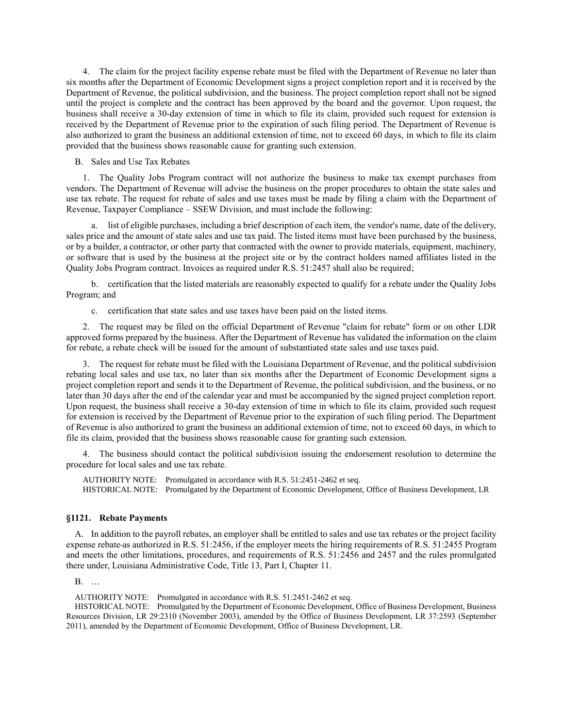4. The claim for the project facility expense rebate must be filed with the Department of Revenue no later than six months after the Department of Economic Development signs a project completion report and it is received by the Department of Revenue, the political subdivision, and the business. The project completion report shall not be signed until the project is complete and the contract has been approved by the board and the governor. Upon request, the business shall receive a 30-day extension of time in which to file its claim, provided such request for extension is received by the Department of Revenue prior to the expiration of such filing period. The Department of Revenue is also authorized to grant the business an additional extension of time, not to exceed 60 days, in which to file its claim provided that the business shows reasonable cause for granting such extension.

B. Sales and Use Tax Rebates

1. The Quality Jobs Program contract will not authorize the business to make tax exempt purchases from vendors. The Department of Revenue will advise the business on the proper procedures to obtain the state sales and use tax rebate. The request for rebate of sales and use taxes must be made by filing a claim with the Department of Revenue, Taxpayer Compliance – SSEW Division, and must include the following:

a. list of eligible purchases, including a brief description of each item, the vendor's name, date of the delivery, sales price and the amount of state sales and use tax paid. The listed items must have been purchased by the business, or by a builder, a contractor, or other party that contracted with the owner to provide materials, equipment, machinery, or software that is used by the business at the project site or by the contract holders named affiliates listed in the Quality Jobs Program contract. Invoices as required under R.S. 51:2457 shall also be required;

b. certification that the listed materials are reasonably expected to qualify for a rebate under the Quality Jobs Program; and

c. certification that state sales and use taxes have been paid on the listed items.

2. The request may be filed on the official Department of Revenue "claim for rebate" form or on other LDR approved forms prepared by the business. After the Department of Revenue has validated the information on the claim for rebate, a rebate check will be issued for the amount of substantiated state sales and use taxes paid.

3. The request for rebate must be filed with the Louisiana Department of Revenue, and the political subdivision rebating local sales and use tax, no later than six months after the Department of Economic Development signs a project completion report and sends it to the Department of Revenue, the political subdivision, and the business, or no later than 30 days after the end of the calendar year and must be accompanied by the signed project completion report. Upon request, the business shall receive a 30-day extension of time in which to file its claim, provided such request for extension is received by the Department of Revenue prior to the expiration of such filing period. The Department of Revenue is also authorized to grant the business an additional extension of time, not to exceed 60 days, in which to file its claim, provided that the business shows reasonable cause for granting such extension.

4. The business should contact the political subdivision issuing the endorsement resolution to determine the procedure for local sales and use tax rebate.

AUTHORITY NOTE: Promulgated in accordance with R.S. 51:2451-2462 et seq. HISTORICAL NOTE: Promulgated by the Department of Economic Development, Office of Business Development, LR

### **§1121. Rebate Payments**

A. In addition to the payroll rebates, an employer shall be entitled to sales and use tax rebates or the project facility expense rebate as authorized in R.S. 51:2456, if the employer meets the hiring requirements of R.S. 51:2455 Program and meets the other limitations, procedures, and requirements of R.S. 51:2456 and 2457 and the rules promulgated there under, Louisiana Administrative Code, Title 13, Part I, Chapter 11.

B. …

AUTHORITY NOTE: Promulgated in accordance with R.S. 51:2451-2462 et seq.

HISTORICAL NOTE: Promulgated by the Department of Economic Development, Office of Business Development, Business Resources Division, LR 29:2310 (November 2003), amended by the Office of Business Development, LR 37:2593 (September 2011), amended by the Department of Economic Development, Office of Business Development, LR.